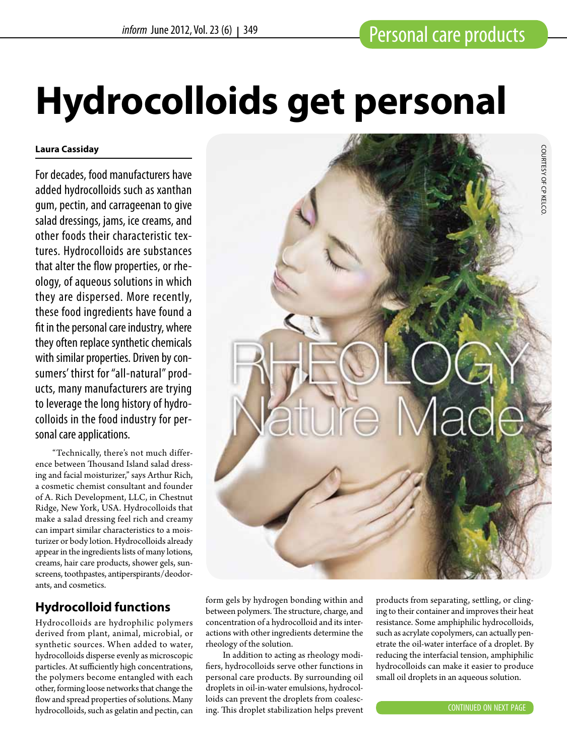# **Hydrocolloids get personal**

#### **Laura Cassiday**

For decades, food manufacturers have added hydrocolloids such as xanthan gum, pectin, and carrageenan to give salad dressings, jams, ice creams, and other foods their characteristic textures. Hydrocolloids are substances that alter the flow properties, or rheology, of aqueous solutions in which they are dispersed. More recently, these food ingredients have found a fit in the personal care industry, where they often replace synthetic chemicals with similar properties. Driven by consumers' thirst for "all-natural" products, many manufacturers are trying to leverage the long history of hydrocolloids in the food industry for personal care applications.

"Technically, there's not much difference between Thousand Island salad dressing and facial moisturizer," says Arthur Rich, a cosmetic chemist consultant and founder of A. Rich Development, LLC, in Chestnut Ridge, New York, USA. Hydrocolloids that make a salad dressing feel rich and creamy can impart similar characteristics to a moisturizer or body lotion. Hydrocolloids already appear in the ingredients lists of many lotions, creams, hair care products, shower gels, sunscreens, toothpastes, antiperspirants/deodorants, and cosmetics.

# **Hydrocolloid functions**

Hydrocolloids are hydrophilic polymers derived from plant, animal, microbial, or synthetic sources. When added to water, hydrocolloids disperse evenly as microscopic particles. At sufficiently high concentrations, the polymers become entangled with each other, forming loose networks that change the flow and spread properties of solutions. Many hydrocolloids, such as gelatin and pectin, can



form gels by hydrogen bonding within and between polymers. The structure, charge, and concentration of a hydrocolloid and its interactions with other ingredients determine the rheology of the solution.

In addition to acting as rheology modifiers, hydrocolloids serve other functions in personal care products. By surrounding oil droplets in oil-in-water emulsions, hydrocolloids can prevent the droplets from coalescing. This droplet stabilization helps prevent products from separating, settling, or clinging to their container and improves their heat resistance. Some amphiphilic hydrocolloids, such as acrylate copolymers, can actually penetrate the oil-water interface of a droplet. By reducing the interfacial tension, amphiphilic hydrocolloids can make it easier to produce small oil droplets in an aqueous solution.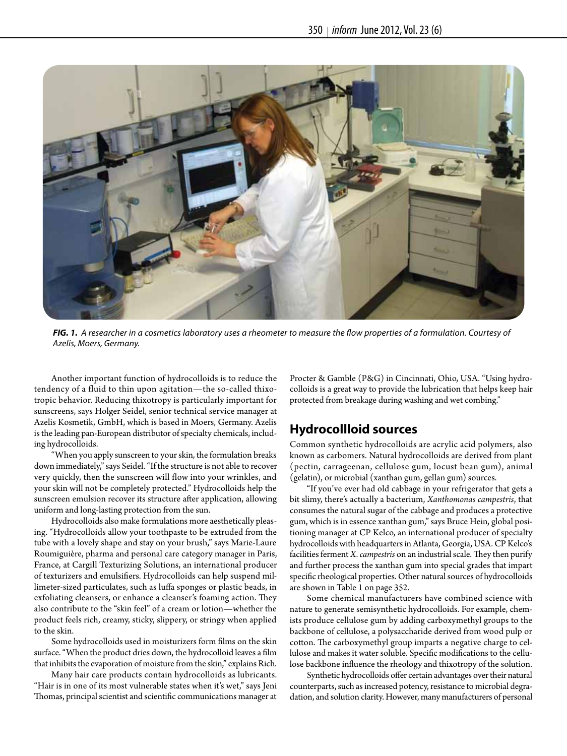

*FIG. 1. A researcher in a cosmetics laboratory uses a rheometer to measure the flow properties of a formulation. Courtesy of Azelis, Moers, Germany.*

Another important function of hydrocolloids is to reduce the tendency of a fluid to thin upon agitation—the so-called thixotropic behavior. Reducing thixotropy is particularly important for sunscreens, says Holger Seidel, senior technical service manager at Azelis Kosmetik, GmbH, which is based in Moers, Germany. Azelis is the leading pan-European distributor of specialty chemicals, including hydrocolloids.

"When you apply sunscreen to your skin, the formulation breaks down immediately," says Seidel. "If the structure is not able to recover very quickly, then the sunscreen will flow into your wrinkles, and your skin will not be completely protected." Hydrocolloids help the sunscreen emulsion recover its structure after application, allowing uniform and long-lasting protection from the sun.

Hydrocolloids also make formulations more aesthetically pleasing. "Hydrocolloids allow your toothpaste to be extruded from the tube with a lovely shape and stay on your brush," says Marie-Laure Roumiguière, pharma and personal care category manager in Paris, France, at Cargill Texturizing Solutions, an international producer of texturizers and emulsifiers. Hydrocolloids can help suspend millimeter-sized particulates, such as luffa sponges or plastic beads, in exfoliating cleansers, or enhance a cleanser's foaming action. They also contribute to the "skin feel" of a cream or lotion—whether the product feels rich, creamy, sticky, slippery, or stringy when applied to the skin.

Some hydrocolloids used in moisturizers form films on the skin surface. "When the product dries down, the hydrocolloid leaves a film that inhibits the evaporation of moisture from the skin," explains Rich.

Many hair care products contain hydrocolloids as lubricants. "Hair is in one of its most vulnerable states when it's wet," says Jeni Thomas, principal scientist and scientific communications manager at Procter & Gamble (P&G) in Cincinnati, Ohio, USA. "Using hydrocolloids is a great way to provide the lubrication that helps keep hair protected from breakage during washing and wet combing."

### **Hydrocollloid sources**

Common synthetic hydrocolloids are acrylic acid polymers, also known as carbomers. Natural hydrocolloids are derived from plant (pectin, carrageenan, cellulose gum, locust bean gum), animal (gelatin), or microbial (xanthan gum, gellan gum) sources.

"If you've ever had old cabbage in your refrigerator that gets a bit slimy, there's actually a bacterium, *Xanthomonas campestris*, that consumes the natural sugar of the cabbage and produces a protective gum, which is in essence xanthan gum," says Bruce Hein, global positioning manager at CP Kelco, an international producer of specialty hydrocolloids with headquarters in Atlanta, Georgia, USA. CP Kelco's facilities ferment *X. campestris* on an industrial scale. They then purify and further process the xanthan gum into special grades that impart specific rheological properties. Other natural sources of hydrocolloids are shown in Table 1 on page 352.

Some chemical manufacturers have combined science with nature to generate semisynthetic hydrocolloids. For example, chemists produce cellulose gum by adding carboxymethyl groups to the backbone of cellulose, a polysaccharide derived from wood pulp or cotton. The carboxymethyl group imparts a negative charge to cellulose and makes it water soluble. Specific modifications to the cellulose backbone influence the rheology and thixotropy of the solution.

Synthetic hydrocolloids offer certain advantages over their natural counterparts, such as increased potency, resistance to microbial degradation, and solution clarity. However, many manufacturers of personal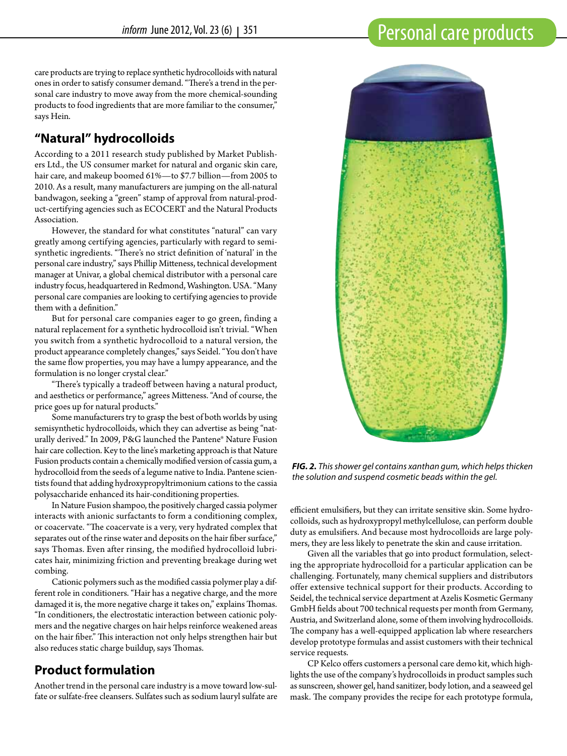care products are trying to replace synthetic hydrocolloids with natural ones in order to satisfy consumer demand. "There's a trend in the personal care industry to move away from the more chemical-sounding products to food ingredients that are more familiar to the consumer," says Hein.

# **"Natural" hydrocolloids**

According to a 2011 research study published by Market Publishers Ltd., the US consumer market for natural and organic skin care, hair care, and makeup boomed 61%—to \$7.7 billion—from 2005 to 2010. As a result, many manufacturers are jumping on the all-natural bandwagon, seeking a "green" stamp of approval from natural-product-certifying agencies such as ECOCERT and the Natural Products Association.

However, the standard for what constitutes "natural" can vary greatly among certifying agencies, particularly with regard to semisynthetic ingredients. "There's no strict definition of 'natural' in the personal care industry," says Phillip Mitteness, technical development manager at Univar, a global chemical distributor with a personal care industry focus, headquartered in Redmond, Washington. USA. "Many personal care companies are looking to certifying agencies to provide them with a definition."

But for personal care companies eager to go green, finding a natural replacement for a synthetic hydrocolloid isn't trivial. "When you switch from a synthetic hydrocolloid to a natural version, the product appearance completely changes," says Seidel. "You don't have the same flow properties, you may have a lumpy appearance, and the formulation is no longer crystal clear."

"There's typically a tradeoff between having a natural product, and aesthetics or performance," agrees Mitteness. "And of course, the price goes up for natural products."

Some manufacturers try to grasp the best of both worlds by using semisynthetic hydrocolloids, which they can advertise as being "naturally derived." In 2009, P&G launched the Pantene® Nature Fusion hair care collection. Key to the line's marketing approach is that Nature Fusion products contain a chemically modified version of cassia gum, a hydrocolloid from the seeds of a legume native to India. Pantene scientists found that adding hydroxypropyltrimonium cations to the cassia polysaccharide enhanced its hair-conditioning properties.

In Nature Fusion shampoo, the positively charged cassia polymer interacts with anionic surfactants to form a conditioning complex, or coacervate. "The coacervate is a very, very hydrated complex that separates out of the rinse water and deposits on the hair fiber surface," says Thomas. Even after rinsing, the modified hydrocolloid lubricates hair, minimizing friction and preventing breakage during wet combing.

Cationic polymers such as the modified cassia polymer play a different role in conditioners. "Hair has a negative charge, and the more damaged it is, the more negative charge it takes on," explains Thomas. "In conditioners, the electrostatic interaction between cationic polymers and the negative charges on hair helps reinforce weakened areas on the hair fiber." This interaction not only helps strengthen hair but also reduces static charge buildup, says Thomas.

# **Product formulation**

Another trend in the personal care industry is a move toward low-sulfate or sulfate-free cleansers. Sulfates such as sodium lauryl sulfate are



*FIG. 2. This shower gel contains xanthan gum, which helps thicken the solution and suspend cosmetic beads within the gel.*

efficient emulsifiers, but they can irritate sensitive skin. Some hydrocolloids, such as hydroxypropyl methylcellulose, can perform double duty as emulsifiers. And because most hydrocolloids are large polymers, they are less likely to penetrate the skin and cause irritation.

Given all the variables that go into product formulation, selecting the appropriate hydrocolloid for a particular application can be challenging. Fortunately, many chemical suppliers and distributors offer extensive technical support for their products. According to Seidel, the technical service department at Azelis Kosmetic Germany GmbH fields about 700 technical requests per month from Germany, Austria, and Switzerland alone, some of them involving hydrocolloids. The company has a well-equipped application lab where researchers develop prototype formulas and assist customers with their technical service requests.

CP Kelco offers customers a personal care demo kit, which highlights the use of the company's hydrocolloids in product samples such as sunscreen, shower gel, hand sanitizer, body lotion, and a seaweed gel mask. The company provides the recipe for each prototype formula,